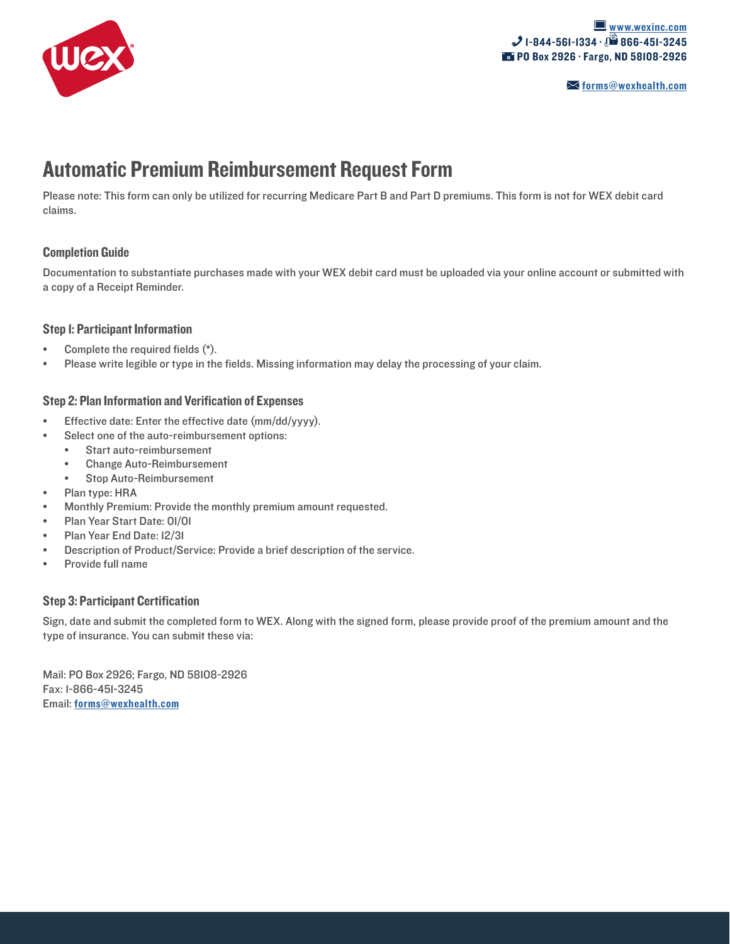

# Automatic Premium Reimbursement Request Form

Please note: This form can only be utilized for recurring Medicare Part B and Part D premiums. This form is not for WEX debit card claims.

## Completion Guide

Documentation to substantiate purchases made with your WEX debit card must be uploaded via your online account or submitted with a copy of a Receipt Reminder.

## Step 1: Participant Information

- Complete the required fields  $(*)$ .
- Please write legible or type in the fields. Missing information may delay the processing of your claim.

## Step 2: Plan Information and Verification of Expenses

- Effective date: Enter the effective date (mm/dd/yyyy).
- Select one of the auto-reimbursement options:
	- Start auto-reimbursement
	- Change Auto-Reimbursement
	- Stop Auto-Reimbursement
- Plan type: HRA
- Monthly Premium: Provide the monthly premium amount requested.
- Plan Year Start Date: 01/01
- Plan Year End Date: 12/31
- Description of Product/Service: Provide a brief description of the service.
- Provide full name

## Step 3: Participant Certification

Sign, date and submit the completed form to WEX. Along with the signed form, please provide proof of the premium amount and the type of insurance. You can submit these via:

Mail: PO Box 2926; Fargo, ND 58108-2926 Fax: 1-866-451-3245 Email: forms[@wexhealth.com](mailto:forms%40wexhealth.com?subject=)